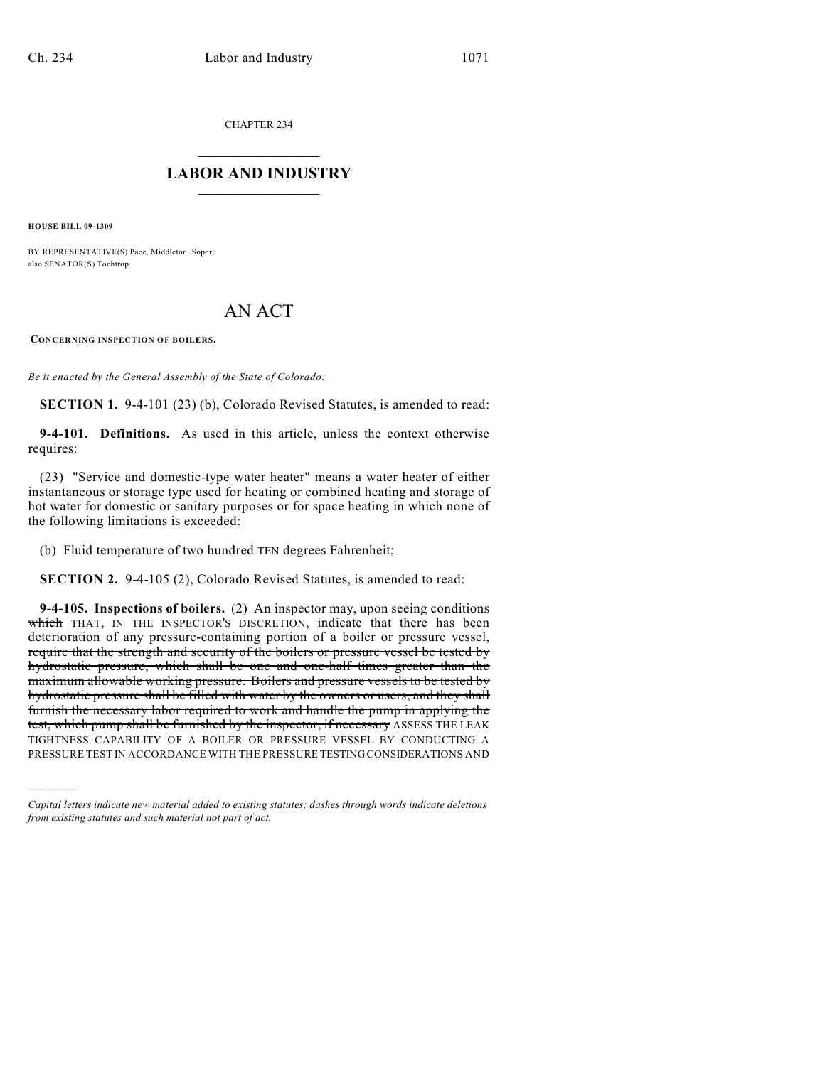CHAPTER 234

## $\mathcal{L}_\text{max}$  . The set of the set of the set of the set of the set of the set of the set of the set of the set of the set of the set of the set of the set of the set of the set of the set of the set of the set of the set **LABOR AND INDUSTRY**  $\frac{1}{\sqrt{2}}$  ,  $\frac{1}{\sqrt{2}}$  ,  $\frac{1}{\sqrt{2}}$  ,  $\frac{1}{\sqrt{2}}$  ,  $\frac{1}{\sqrt{2}}$  ,  $\frac{1}{\sqrt{2}}$

**HOUSE BILL 09-1309**

)))))

BY REPRESENTATIVE(S) Pace, Middleton, Soper; also SENATOR(S) Tochtrop.

## AN ACT

**CONCERNING INSPECTION OF BOILERS.**

*Be it enacted by the General Assembly of the State of Colorado:*

**SECTION 1.** 9-4-101 (23) (b), Colorado Revised Statutes, is amended to read:

**9-4-101. Definitions.** As used in this article, unless the context otherwise requires:

(23) "Service and domestic-type water heater" means a water heater of either instantaneous or storage type used for heating or combined heating and storage of hot water for domestic or sanitary purposes or for space heating in which none of the following limitations is exceeded:

(b) Fluid temperature of two hundred TEN degrees Fahrenheit;

**SECTION 2.** 9-4-105 (2), Colorado Revised Statutes, is amended to read:

**9-4-105. Inspections of boilers.** (2) An inspector may, upon seeing conditions which THAT, IN THE INSPECTOR'S DISCRETION, indicate that there has been deterioration of any pressure-containing portion of a boiler or pressure vessel, require that the strength and security of the boilers or pressure vessel be tested by hydrostatic pressure, which shall be one and one-half times greater than the maximum allowable working pressure. Boilers and pressure vessels to be tested by hydrostatic pressure shall be filled with water by the owners or users, and they shall furnish the necessary labor required to work and handle the pump in applying the test, which pump shall be furnished by the inspector, if necessary ASSESS THE LEAK TIGHTNESS CAPABILITY OF A BOILER OR PRESSURE VESSEL BY CONDUCTING A PRESSURE TEST IN ACCORDANCE WITH THE PRESSURE TESTING CONSIDERATIONS AND

*Capital letters indicate new material added to existing statutes; dashes through words indicate deletions from existing statutes and such material not part of act.*